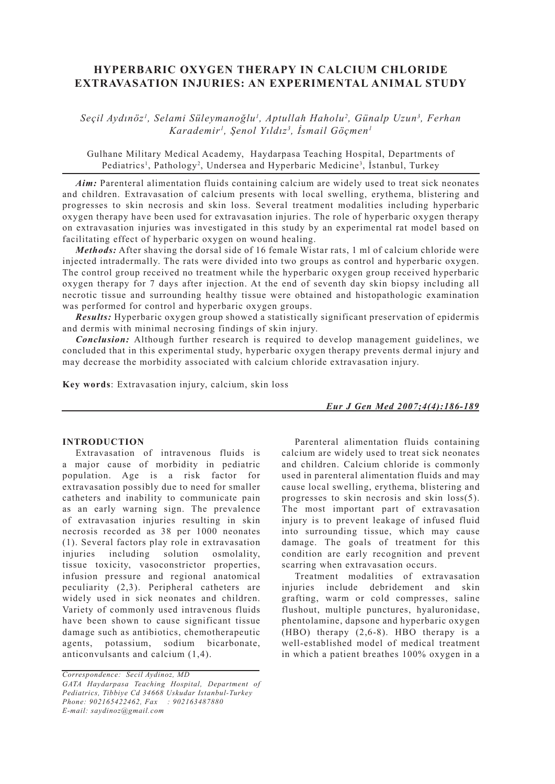# **HYPERBARIC OXYGEN THERAPY IN CALCIUM CHLORIDE EXTRAVASATION INJURIES: AN EXPERIMENTAL ANIMAL STUDY**

*Seçil Aydınöz1 , Selami Süleymanoğlu1 , Aptullah Haholu2 , Günalp Uzun3 , Ferhan Karademir1 , Şenol Yıldız3 , İsmail Göçmen1*

Gulhane Military Medical Academy, Haydarpasa Teaching Hospital, Departments of Pediatrics<sup>1</sup>, Pathology<sup>2</sup>, Undersea and Hyperbaric Medicine<sup>3</sup>, İstanbul, Turkey

Aim: Parenteral alimentation fluids containing calcium are widely used to treat sick neonates and children. Extravasation of calcium presents with local swelling, erythema, blistering and progresses to skin necrosis and skin loss. Several treatment modalities including hyperbaric oxygen therapy have been used for extravasation injuries. The role of hyperbaric oxygen therapy on extravasation injuries was investigated in this study by an experimental rat model based on facilitating effect of hyperbaric oxygen on wound healing.

*Methods:* After shaving the dorsal side of 16 female Wistar rats, 1 ml of calcium chloride were injected intradermally. The rats were divided into two groups as control and hyperbaric oxygen. The control group received no treatment while the hyperbaric oxygen group received hyperbaric oxygen therapy for 7 days after injection. At the end of seventh day skin biopsy including all necrotic tissue and surrounding healthy tissue were obtained and histopathologic examination was performed for control and hyperbaric oxygen groups.

*Results:* Hyperbaric oxygen group showed a statistically significant preservation of epidermis and dermis with minimal necrosing findings of skin injury.

*Conclusion:* Although further research is required to develop management guidelines, we concluded that in this experimental study, hyperbaric oxygen therapy prevents dermal injury and may decrease the morbidity associated with calcium chloride extravasation injury.

**Key words**: Extravasation injury, calcium, skin loss

*Eur J Gen Med 2007;4(4):186-189*

## **INTRODUCTION**

Extravasation of intravenous fluids is a major cause of morbidity in pediatric population. Age is a risk factor for extravasation possibly due to need for smaller catheters and inability to communicate pain as an early warning sign. The prevalence of extravasation injuries resulting in skin necrosis recorded as 38 per 1000 neonates (1). Several factors play role in extravasation injuries including solution osmolality, tissue toxicity, vasoconstrictor properties, infusion pressure and regional anatomical peculiarity (2,3). Peripheral catheters are widely used in sick neonates and children. Variety of commonly used intravenous fluids have been shown to cause significant tissue damage such as antibiotics, chemotherapeutic agents, potassium, sodium bicarbonate, anticonvulsants and calcium (1,4).

Parenteral alimentation fluids containing calcium are widely used to treat sick neonates and children. Calcium chloride is commonly used in parenteral alimentation fluids and may cause local swelling, erythema, blistering and progresses to skin necrosis and skin loss(5). The most important part of extravasation injury is to prevent leakage of infused fluid into surrounding tissue, which may cause damage. The goals of treatment for this condition are early recognition and prevent scarring when extravasation occurs.

Treatment modalities of extravasation injuries include debridement and skin grafting, warm or cold compresses, saline flushout, multiple punctures, hyaluronidase, phentolamine, dapsone and hyperbaric oxygen (HBO) therapy (2,6-8). HBO therapy is a well-established model of medical treatment in which a patient breathes 100% oxygen in a

*Correspondence: Secil Aydinoz, MD GATA Haydarpasa Teaching Hospital, Department of Pediatrics, Tibbiye Cd 34668 Uskudar Istanbul-Turkey Phone: 902165422462, Fax : 902163487880 E-mail: saydinoz@gmail.com*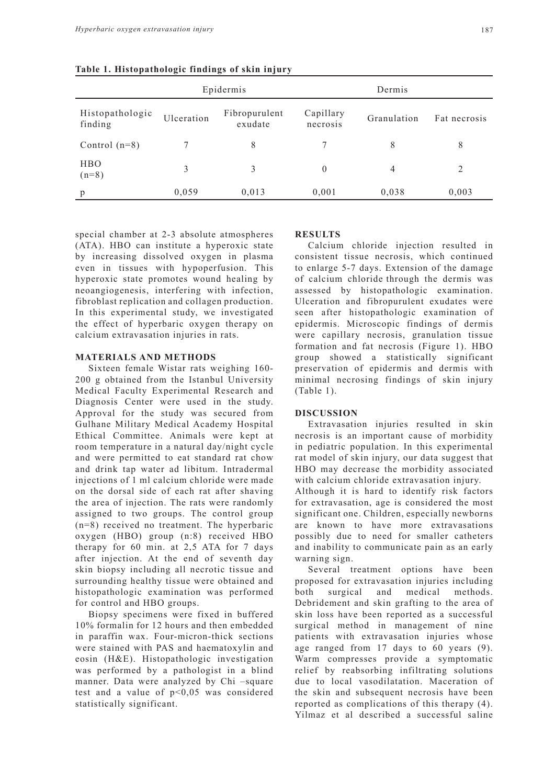|                            | Epidermis  |                          | Dermis                |                |              |
|----------------------------|------------|--------------------------|-----------------------|----------------|--------------|
| Histopathologic<br>finding | Ulceration | Fibropurulent<br>exudate | Capillary<br>necrosis | Granulation    | Fat necrosis |
| Control $(n=8)$            |            | 8                        |                       | 8              | 8            |
| <b>HBO</b><br>$(n=8)$      | 3          | 3                        | $\theta$              | $\overline{4}$ | 2            |
| p                          | 0,059      | 0.013                    | 0,001                 | 0,038          | 0,003        |

**Table 1. Histopathologic findings of skin injury**

special chamber at 2-3 absolute atmospheres (ATA). HBO can institute a hyperoxic state by increasing dissolved oxygen in plasma even in tissues with hypoperfusion. This hyperoxic state promotes wound healing by neoangiogenesis, interfering with infection, fibroblast replication and collagen production. In this experimental study, we investigated the effect of hyperbaric oxygen therapy on calcium extravasation injuries in rats.

#### **MATERIALS AND METHODS**

Sixteen female Wistar rats weighing 160- 200 g obtained from the Istanbul University Medical Faculty Experimental Research and Diagnosis Center were used in the study. Approval for the study was secured from Gulhane Military Medical Academy Hospital Ethical Committee. Animals were kept at room temperature in a natural day/night cycle and were permitted to eat standard rat chow and drink tap water ad libitum. Intradermal injections of 1 ml calcium chloride were made on the dorsal side of each rat after shaving the area of injection. The rats were randomly assigned to two groups. The control group (n=8) received no treatment. The hyperbaric oxygen (HBO) group (n:8) received HBO therapy for 60 min. at 2,5 ATA for 7 days after injection. At the end of seventh day skin biopsy including all necrotic tissue and surrounding healthy tissue were obtained and histopathologic examination was performed for control and HBO groups.

Biopsy specimens were fixed in buffered 10% formalin for 12 hours and then embedded in paraffin wax. Four-micron-thick sections were stained with PAS and haematoxylin and eosin (H&E). Histopathologic investigation was performed by a pathologist in a blind manner. Data were analyzed by Chi –square test and a value of  $p<0.05$  was considered statistically significant.

### **RESULTS**

Calcium chloride injection resulted in consistent tissue necrosis, which continued to enlarge 5-7 days. Extension of the damage of calcium chloride through the dermis was assessed by histopathologic examination. Ulceration and fibropurulent exudates were seen after histopathologic examination of epidermis. Microscopic findings of dermis were capillary necrosis, granulation tissue formation and fat necrosis (Figure 1). HBO group showed a statistically significant preservation of epidermis and dermis with minimal necrosing findings of skin injury (Table 1).

## **DISCUSSION**

Extravasation injuries resulted in skin necrosis is an important cause of morbidity in pediatric population. In this experimental rat model of skin injury, our data suggest that HBO may decrease the morbidity associated with calcium chloride extravasation injury. Although it is hard to identify risk factors for extravasation, age is considered the most significant one. Children, especially newborns are known to have more extravasations possibly due to need for smaller catheters and inability to communicate pain as an early warning sign.

Several treatment options have been proposed for extravasation injuries including both surgical and medical methods. Debridement and skin grafting to the area of skin loss have been reported as a successful surgical method in management of nine patients with extravasation injuries whose age ranged from 17 days to 60 years (9). Warm compresses provide a symptomatic relief by reabsorbing infiltrating solutions due to local vasodilatation. Maceration of the skin and subsequent necrosis have been reported as complications of this therapy (4). Yilmaz et al described a successful saline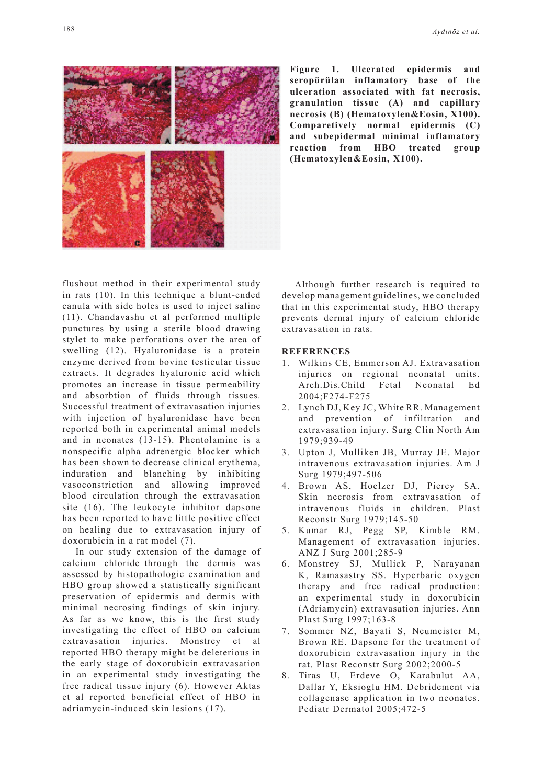

**Figure 1. Ulcerated epidermis and seropürülan inflamatory base of the ulceration associated with fat necrosis, granulation tissue (A) and capillary necrosis (B) (Hematoxylen&Eosin, X100). Comparetively normal epidermis (C) and subepidermal minimal inflamatory reaction from HBO treated group (Hematoxylen&Eosin, X100).** 

flushout method in their experimental study in rats (10). In this technique a blunt-ended canula with side holes is used to inject saline (11). Chandavashu et al performed multiple punctures by using a sterile blood drawing stylet to make perforations over the area of swelling (12). Hyaluronidase is a protein enzyme derived from bovine testicular tissue extracts. It degrades hyaluronic acid which promotes an increase in tissue permeability and absorbtion of fluids through tissues. Successful treatment of extravasation injuries with injection of hyaluronidase have been reported both in experimental animal models and in neonates (13-15). Phentolamine is a nonspecific alpha adrenergic blocker which has been shown to decrease clinical erythema, induration and blanching by inhibiting vasoconstriction and allowing improved blood circulation through the extravasation site (16). The leukocyte inhibitor dapsone has been reported to have little positive effect on healing due to extravasation injury of doxorubicin in a rat model (7).

In our study extension of the damage of calcium chloride through the dermis was assessed by histopathologic examination and HBO group showed a statistically significant preservation of epidermis and dermis with minimal necrosing findings of skin injury. As far as we know, this is the first study investigating the effect of HBO on calcium extravasation injuries. Monstrey et al reported HBO therapy might be deleterious in the early stage of doxorubicin extravasation in an experimental study investigating the free radical tissue injury (6). However Aktas et al reported beneficial effect of HBO in adriamycin-induced skin lesions (17).

Although further research is required to develop management guidelines, we concluded that in this experimental study, HBO therapy prevents dermal injury of calcium chloride extravasation in rats.

## **REFERENCES**

- 1. Wilkins CE, Emmerson AJ. Extravasation injuries on regional neonatal units. Arch.Dis.Child Fetal Neonatal Ed 2004;F274-F275
- 2. Lynch DJ, Key JC, White RR. Management and prevention of infiltration and extravasation injury. Surg Clin North Am 1979;939-49
- 3. Upton J, Mulliken JB, Murray JE. Major intravenous extravasation injuries. Am J Surg 1979;497-506
- 4. Brown AS, Hoelzer DJ, Piercy SA. Skin necrosis from extravasation of intravenous fluids in children. Plast Reconstr Surg 1979;145-50
- 5. Kumar RJ, Pegg SP, Kimble RM. Management of extravasation injuries. ANZ J Surg 2001;285-9
- 6. Monstrey SJ, Mullick P, Narayanan K, Ramasastry SS. Hyperbaric oxygen therapy and free radical production: an experimental study in doxorubicin (Adriamycin) extravasation injuries. Ann Plast Surg 1997;163-8
- 7. Sommer NZ, Bayati S, Neumeister M, Brown RE. Dapsone for the treatment of doxorubicin extravasation injury in the rat. Plast Reconstr Surg 2002;2000-5
- 8. Tiras U, Erdeve O, Karabulut AA, Dallar Y, Eksioglu HM. Debridement via collagenase application in two neonates. Pediatr Dermatol 2005;472-5